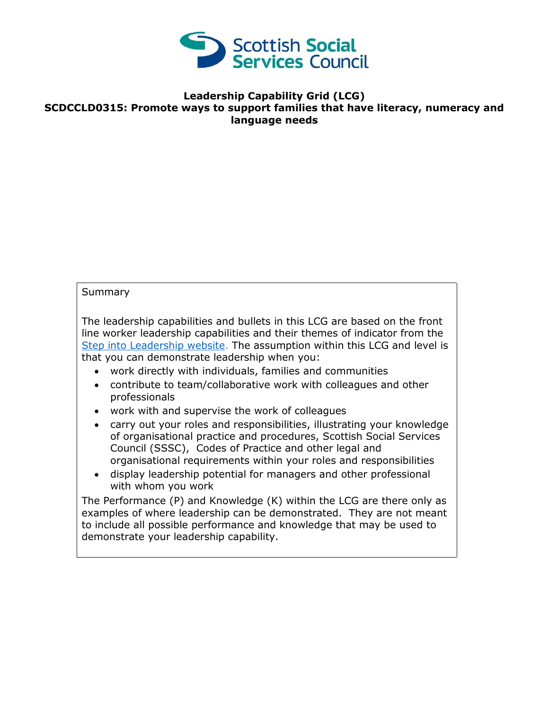

## **Leadership Capability Grid (LCG) SCDCCLD0315: Promote ways to support families that have literacy, numeracy and language needs**

## Summary

The leadership capabilities and bullets in this LCG are based on the front line worker leadership capabilities and their themes of indicator from the [Step into Leadership website.](http://www.stepintoleadership.info/) The assumption within this LCG and level is that you can demonstrate leadership when you:

- work directly with individuals, families and communities
- contribute to team/collaborative work with colleagues and other professionals
- work with and supervise the work of colleagues
- carry out your roles and responsibilities, illustrating your knowledge of organisational practice and procedures, Scottish Social Services Council (SSSC), Codes of Practice and other legal and organisational requirements within your roles and responsibilities
- display leadership potential for managers and other professional with whom you work

The Performance (P) and Knowledge (K) within the LCG are there only as examples of where leadership can be demonstrated. They are not meant to include all possible performance and knowledge that may be used to demonstrate your leadership capability.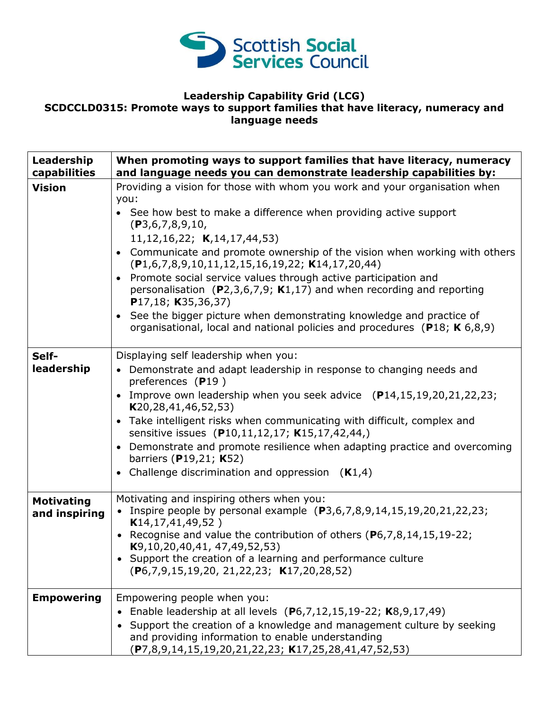

## **Leadership Capability Grid (LCG) SCDCCLD0315: Promote ways to support families that have literacy, numeracy and language needs**

| Leadership<br>capabilities         | When promoting ways to support families that have literacy, numeracy<br>and language needs you can demonstrate leadership capabilities by:                                                                                                                                                                                                                                                                                                                                                                                                                                                                                                                                  |
|------------------------------------|-----------------------------------------------------------------------------------------------------------------------------------------------------------------------------------------------------------------------------------------------------------------------------------------------------------------------------------------------------------------------------------------------------------------------------------------------------------------------------------------------------------------------------------------------------------------------------------------------------------------------------------------------------------------------------|
| <b>Vision</b>                      | Providing a vision for those with whom you work and your organisation when<br>you:<br>• See how best to make a difference when providing active support<br>(P3,6,7,8,9,10,<br>11, 12, 16, 22; K, 14, 17, 44, 53)<br>• Communicate and promote ownership of the vision when working with others<br>$(P1,6,7,8,9,10,11,12,15,16,19,22; K14,17,20,44)$<br>• Promote social service values through active participation and<br>personalisation (P2,3,6,7,9; K1,17) and when recording and reporting<br>P17,18; K35,36,37)<br>• See the bigger picture when demonstrating knowledge and practice of<br>organisational, local and national policies and procedures (P18; K 6,8,9) |
| Self-<br>leadership                | Displaying self leadership when you:<br>• Demonstrate and adapt leadership in response to changing needs and<br>preferences (P19)<br>• Improve own leadership when you seek advice $(P14, 15, 19, 20, 21, 22, 23)$<br>K20, 28, 41, 46, 52, 53)<br>• Take intelligent risks when communicating with difficult, complex and<br>sensitive issues (P10,11,12,17; K15,17,42,44,)<br>• Demonstrate and promote resilience when adapting practice and overcoming<br>barriers (P19,21; K52)<br>• Challenge discrimination and oppression $(K1,4)$                                                                                                                                   |
| <b>Motivating</b><br>and inspiring | Motivating and inspiring others when you:<br>• Inspire people by personal example $(P3, 6, 7, 8, 9, 14, 15, 19, 20, 21, 22, 23;$<br>K14, 17, 41, 49, 52)<br>• Recognise and value the contribution of others $(P6,7,8,14,15,19-22;$<br>K9, 10, 20, 40, 41, 47, 49, 52, 53)<br>• Support the creation of a learning and performance culture<br>$(P6,7,9,15,19,20, 21,22,23; K17,20,28,52)$                                                                                                                                                                                                                                                                                   |
| <b>Empowering</b>                  | Empowering people when you:<br>• Enable leadership at all levels $(P6,7,12,15,19-22; K8,9,17,49)$<br>• Support the creation of a knowledge and management culture by seeking<br>and providing information to enable understanding<br>$(P7,8,9,14,15,19,20,21,22,23; K17,25,28,41,47,52,53)$                                                                                                                                                                                                                                                                                                                                                                                 |